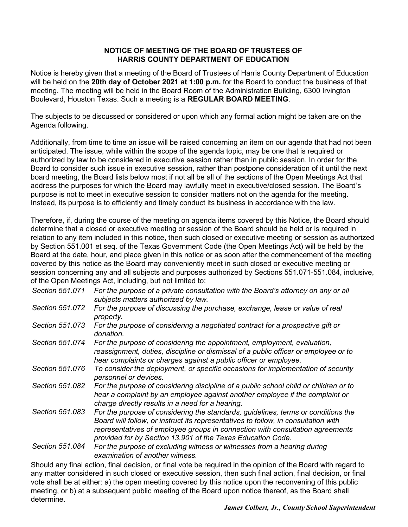#### **NOTICE OF MEETING OF THE BOARD OF TRUSTEES OF HARRIS COUNTY DEPARTMENT OF EDUCATION**

Notice is hereby given that a meeting of the Board of Trustees of Harris County Department of Education will be held on the **20th day of October 2021 at 1:00 p.m.** for the Board to conduct the business of that meeting. The meeting will be held in the Board Room of the Administration Building, 6300 Irvington Boulevard, Houston Texas. Such a meeting is a **REGULAR BOARD MEETING**.

The subjects to be discussed or considered or upon which any formal action might be taken are on the Agenda following.

Additionally, from time to time an issue will be raised concerning an item on our agenda that had not been anticipated. The issue, while within the scope of the agenda topic, may be one that is required or authorized by law to be considered in executive session rather than in public session. In order for the Board to consider such issue in executive session, rather than postpone consideration of it until the next board meeting, the Board lists below most if not all be all of the sections of the Open Meetings Act that address the purposes for which the Board may lawfully meet in executive/closed session. The Board's purpose is not to meet in executive session to consider matters not on the agenda for the meeting. Instead, its purpose is to efficiently and timely conduct its business in accordance with the law.

Therefore, if, during the course of the meeting on agenda items covered by this Notice, the Board should determine that a closed or executive meeting or session of the Board should be held or is required in relation to any item included in this notice, then such closed or executive meeting or session as authorized by Section 551.001 et seq. of the Texas Government Code (the Open Meetings Act) will be held by the Board at the date, hour, and place given in this notice or as soon after the commencement of the meeting covered by this notice as the Board may conveniently meet in such closed or executive meeting or session concerning any and all subjects and purposes authorized by Sections 551.071-551.084, inclusive, of the Open Meetings Act, including, but not limited to:

| Section 551.071 | For the purpose of a private consultation with the Board's attorney on any or all<br>subjects matters authorized by law.                                                                                                                                                                                                |
|-----------------|-------------------------------------------------------------------------------------------------------------------------------------------------------------------------------------------------------------------------------------------------------------------------------------------------------------------------|
| Section 551.072 | For the purpose of discussing the purchase, exchange, lease or value of real<br>property.                                                                                                                                                                                                                               |
| Section 551.073 | For the purpose of considering a negotiated contract for a prospective gift or<br>donation.                                                                                                                                                                                                                             |
| Section 551.074 | For the purpose of considering the appointment, employment, evaluation,<br>reassignment, duties, discipline or dismissal of a public officer or employee or to<br>hear complaints or charges against a public officer or employee.                                                                                      |
| Section 551,076 | To consider the deployment, or specific occasions for implementation of security<br>personnel or devices.                                                                                                                                                                                                               |
| Section 551.082 | For the purpose of considering discipline of a public school child or children or to<br>hear a complaint by an employee against another employee if the complaint or<br>charge directly results in a need for a hearing.                                                                                                |
| Section 551.083 | For the purpose of considering the standards, guidelines, terms or conditions the<br>Board will follow, or instruct its representatives to follow, in consultation with<br>representatives of employee groups in connection with consultation agreements<br>provided for by Section 13.901 of the Texas Education Code. |
| Section 551.084 | For the purpose of excluding witness or witnesses from a hearing during<br>examination of another witness.                                                                                                                                                                                                              |

Should any final action, final decision, or final vote be required in the opinion of the Board with regard to any matter considered in such closed or executive session, then such final action, final decision, or final vote shall be at either: a) the open meeting covered by this notice upon the reconvening of this public meeting, or b) at a subsequent public meeting of the Board upon notice thereof, as the Board shall determine.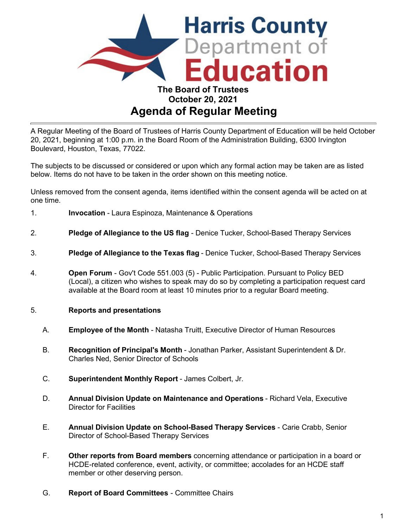

# **Agenda of Regular Meeting**

A Regular Meeting of the Board of Trustees of Harris County Department of Education will be held October 20, 2021, beginning at 1:00 p.m. in the Board Room of the Administration Building, 6300 Irvington Boulevard, Houston, Texas, 77022.

The subjects to be discussed or considered or upon which any formal action may be taken are as listed below. Items do not have to be taken in the order shown on this meeting notice.

Unless removed from the consent agenda, items identified within the consent agenda will be acted on at one time.

- 1. **Invocation** Laura Espinoza, Maintenance & Operations
- 2. **Pledge of Allegiance to the US flag** Denice Tucker, School-Based Therapy Services
- 3. **Pledge of Allegiance to the Texas flag** Denice Tucker, School-Based Therapy Services
- 4. **Open Forum**  Gov't Code 551.003 (5) Public Participation. Pursuant to Policy BED (Local), a citizen who wishes to speak may do so by completing a participation request card available at the Board room at least 10 minutes prior to a regular Board meeting.

#### 5. **Reports and presentations**

- A. **Employee of the Month**  Natasha Truitt, Executive Director of Human Resources
- B. **Recognition of Principal's Month** Jonathan Parker, Assistant Superintendent & Dr. Charles Ned, Senior Director of Schools
- C. **Superintendent Monthly Report** James Colbert, Jr.
- D. **Annual Division Update on Maintenance and Operations** Richard Vela, Executive Director for Facilities
- E. **Annual Division Update on School-Based Therapy Services**  Carie Crabb, Senior Director of School-Based Therapy Services
- F. **Other reports from Board members** concerning attendance or participation in a board or HCDE-related conference, event, activity, or committee; accolades for an HCDE staff member or other deserving person.
- G. **Report of Board Committees** Committee Chairs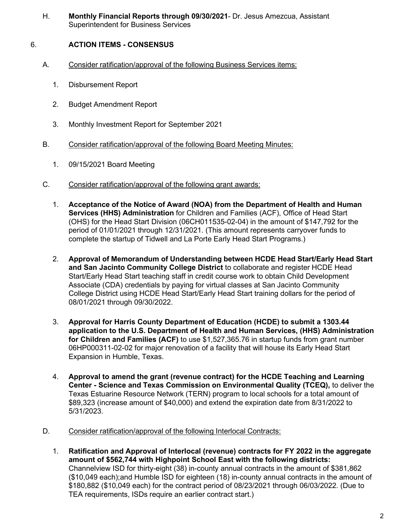H. **Monthly Financial Reports through 09/30/2021**- Dr. Jesus Amezcua, Assistant Superintendent for Business Services

# 6. **ACTION ITEMS - CONSENSUS**

- A. Consider ratification/approval of the following Business Services items:
	- 1. Disbursement Report
	- 2. Budget Amendment Report
	- 3. Monthly Investment Report for September 2021
- B. Consider ratification/approval of the following Board Meeting Minutes:
	- 1. 09/15/2021 Board Meeting
- C. Consider ratification/approval of the following grant awards:
	- 1. **Acceptance of the Notice of Award (NOA) from the Department of Health and Human Services (HHS) Administration** for Children and Families (ACF), Office of Head Start (OHS) for the Head Start Division (06CH011535-02-04) in the amount of \$147,792 for the period of 01/01/2021 through 12/31/2021. (This amount represents carryover funds to complete the startup of Tidwell and La Porte Early Head Start Programs.)
	- 2. **Approval of Memorandum of Understanding between HCDE Head Start/Early Head Start and San Jacinto Community College District** to collaborate and register HCDE Head Start/Early Head Start teaching staff in credit course work to obtain Child Development Associate (CDA) credentials by paying for virtual classes at San Jacinto Community College District using HCDE Head Start/Early Head Start training dollars for the period of 08/01/2021 through 09/30/2022.
	- 3. **Approval for Harris County Department of Education (HCDE) to submit a 1303.44 application to the U.S. Department of Health and Human Services, (HHS) Administration for Children and Families (ACF)** to use \$1,527,365.76 in startup funds from grant number 06HP000311-02-02 for major renovation of a facility that will house its Early Head Start Expansion in Humble, Texas.
	- 4. **Approval to amend the grant (revenue contract) for the HCDE Teaching and Learning Center - Science and Texas Commission on Environmental Quality (TCEQ),** to deliver the Texas Estuarine Resource Network (TERN) program to local schools for a total amount of \$89,323 (increase amount of \$40,000) and extend the expiration date from 8/31/2022 to 5/31/2023.
- D. Consider ratification/approval of the following Interlocal Contracts:
	- 1. **Ratification and Approval of Interlocal (revenue) contracts for FY 2022 in the aggregate amount of \$562,744 with Highpoint School East with the following districts:** Channelview ISD for thirty-eight (38) in-county annual contracts in the amount of \$381,862 (\$10,049 each);and Humble ISD for eighteen (18) in-county annual contracts in the amount of \$180,882 (\$10,049 each) for the contract period of 08/23/2021 through 06/03/2022. (Due to TEA requirements, ISDs require an earlier contract start.)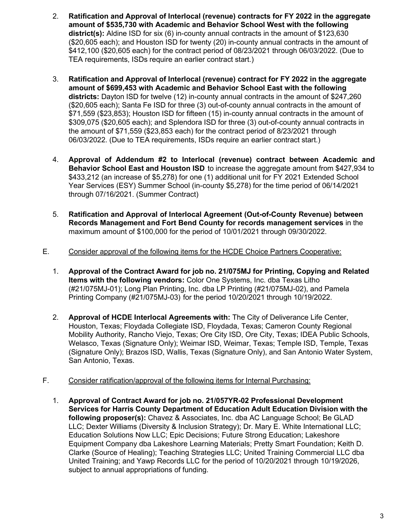- 2. **Ratification and Approval of Interlocal (revenue) contracts for FY 2022 in the aggregate amount of \$535,730 with Academic and Behavior School West with the following district(s):** Aldine ISD for six (6) in-county annual contracts in the amount of \$123,630 (\$20,605 each); and Houston ISD for twenty (20) in-county annual contracts in the amount of \$412,100 (\$20,605 each) for the contract period of 08/23/2021 through 06/03/2022. (Due to TEA requirements, ISDs require an earlier contract start.)
- 3. **Ratification and Approval of Interlocal (revenue) contract for FY 2022 in the aggregate amount of \$699,453 with Academic and Behavior School East with the following districts:** Dayton ISD for twelve (12) in-county annual contracts in the amount of \$247,260 (\$20,605 each); Santa Fe ISD for three (3) out-of-county annual contracts in the amount of \$71,559 (\$23,853); Houston ISD for fifteen (15) in-county annual contracts in the amount of \$309,075 (\$20,605 each); and Splendora ISD for three (3) out-of-county annual contracts in the amount of \$71,559 (\$23,853 each) for the contract period of 8/23/2021 through 06/03/2022. (Due to TEA requirements, ISDs require an earlier contract start.)
- 4. **Approval of Addendum #2 to Interlocal (revenue) contract between Academic and Behavior School East and Houston ISD** to increase the aggregate amount from \$427,934 to \$433,212 (an increase of \$5,278) for one (1) additional unit for FY 2021 Extended School Year Services (ESY) Summer School (in-county \$5,278) for the time period of 06/14/2021 through 07/16/2021. (Summer Contract)
- 5. **Ratification and Approval of Interlocal Agreement (Out-of-County Revenue) between Records Management and Fort Bend County for records management services** in the maximum amount of \$100,000 for the period of 10/01/2021 through 09/30/2022.
- E. Consider approval of the following items for the HCDE Choice Partners Cooperative:
	- 1. **Approval of the Contract Award for job no. 21/075MJ for Printing, Copying and Related Items with the following vendors:** Color One Systems, Inc. dba Texas Litho (#21/075MJ-01); Long Plan Printing, Inc. dba LP Printing (#21/075MJ-02), and Pamela Printing Company (#21/075MJ-03) for the period 10/20/2021 through 10/19/2022.
	- 2. **Approval of HCDE Interlocal Agreements with:** The City of Deliverance Life Center, Houston, Texas; Floydada Collegiate ISD, Floydada, Texas; Cameron County Regional Mobility Authority, Rancho Viejo, Texas; Ore City ISD, Ore City, Texas; IDEA Public Schools, Welasco, Texas (Signature Only); Weimar ISD, Weimar, Texas; Temple ISD, Temple, Texas (Signature Only); Brazos ISD, Wallis, Texas (Signature Only), and San Antonio Water System, San Antonio, Texas.

# F. Consider ratification/approval of the following items for Internal Purchasing:

1. **Approval of Contract Award for job no. 21/057YR-02 Professional Development Services for Harris County Department of Education Adult Education Division with the following proposer(s):** Chavez & Associates, Inc. dba AC Language School; Be GLAD LLC; Dexter Williams (Diversity & Inclusion Strategy); Dr. Mary E. White International LLC; Education Solutions Now LLC; Epic Decisions; Future Strong Education; Lakeshore Equipment Company dba Lakeshore Learning Materials; Pretty Smart Foundation; Keith D. Clarke (Source of Healing); Teaching Strategies LLC; United Training Commercial LLC dba United Training; and Yawp Records LLC for the period of 10/20/2021 through 10/19/2026, subject to annual appropriations of funding.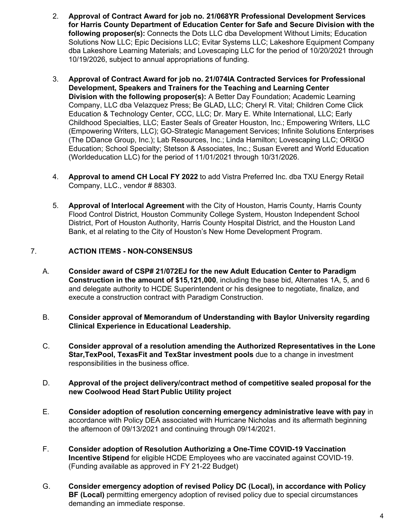- 2. **Approval of Contract Award for job no. 21/068YR Professional Development Services for Harris County Department of Education Center for Safe and Secure Division with the following proposer(s):** Connects the Dots LLC dba Development Without Limits; Education Solutions Now LLC; Epic Decisions LLC; Evitar Systems LLC; Lakeshore Equipment Company dba Lakeshore Learning Materials; and Lovescaping LLC for the period of 10/20/2021 through 10/19/2026, subject to annual appropriations of funding.
- 3. **Approval of Contract Award for job no. 21/074IA Contracted Services for Professional Development, Speakers and Trainers for the Teaching and Learning Center Division with the following proposer(s):** A Better Day Foundation; Academic Learning Company, LLC dba Velazquez Press; Be GLAD**,** LLC; Cheryl R. Vital; Children Come Click Education & Technology Center, CCC, LLC; Dr. Mary E. White International, LLC; Early Childhood Specialties, LLC; Easter Seals of Greater Houston, Inc.; Empowering Writers, LLC (Empowering Writers, LLC); GO-Strategic Management Services; Infinite Solutions Enterprises (The DDance Group, Inc.); Lab Resources, Inc.; Linda Hamilton; Lovescaping LLC; ORIGO Education; School Specialty; Stetson & Associates, Inc.; Susan Everett and World Education (Worldeducation LLC) for the period of 11/01/2021 through 10/31/2026.
- 4. **Approval to amend CH Local FY 2022** to add Vistra Preferred Inc. dba TXU Energy Retail Company, LLC., vendor # 88303.
- 5. **Approval of Interlocal Agreement** with the City of Houston, Harris County, Harris County Flood Control District, Houston Community College System, Houston Independent School District, Port of Houston Authority, Harris County Hospital District, and the Houston Land Bank, et al relating to the City of Houston's New Home Development Program.

# 7. **ACTION ITEMS - NON-CONSENSUS**

- A. **Consider award of CSP# 21/072EJ for the new Adult Education Center to Paradigm Construction in the amount of \$15,121,000**, including the base bid, Alternates 1A, 5, and 6 and delegate authority to HCDE Superintendent or his designee to negotiate, finalize, and execute a construction contract with Paradigm Construction.
- B. **Consider approval of Memorandum of Understanding with Baylor University regarding Clinical Experience in Educational Leadership.**
- C. **Consider approval of a resolution amending the Authorized Representatives in the Lone Star,TexPool, TexasFit and TexStar investment pools** due to a change in investment responsibilities in the business office.
- D. **Approval of the project delivery/contract method of competitive sealed proposal for the new Coolwood Head Start Public Utility project**
- E. **Consider adoption of resolution concerning emergency administrative leave with pay** in accordance with Policy DEA associated with Hurricane Nicholas and its aftermath beginning the afternoon of 09/13/2021 and continuing through 09/14/2021.
- F. **Consider adoption of Resolution Authorizing a One-Time COVID-19 Vaccination Incentive Stipend** for eligible HCDE Employees who are vaccinated against COVID-19. (Funding available as approved in FY 21-22 Budget)
- G. **Consider emergency adoption of revised Policy DC (Local), in accordance with Policy BF (Local)** permitting emergency adoption of revised policy due to special circumstances demanding an immediate response.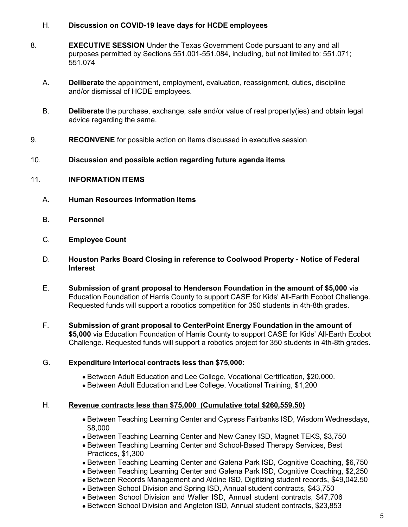### H. **Discussion on COVID-19 leave days for HCDE employees**

- 8. **EXECUTIVE SESSION** Under the Texas Government Code pursuant to any and all purposes permitted by Sections 551.001-551.084, including, but not limited to: 551.071; 551.074
	- A. **Deliberate** the appointment, employment, evaluation, reassignment, duties, discipline and/or dismissal of HCDE employees.
	- B. **Deliberate** the purchase, exchange, sale and/or value of real property(ies) and obtain legal advice regarding the same.
- 9. **RECONVENE** for possible action on items discussed in executive session

#### 10. **Discussion and possible action regarding future agenda items**

#### 11. **INFORMATION ITEMS**

- A. **Human Resources Information Items**
- B. **Personnel**
- C. **Employee Count**
- D. **Houston Parks Board Closing in reference to Coolwood Property Notice of Federal Interest**
- E. **Submission of grant proposal to Henderson Foundation in the amount of \$5,000** via Education Foundation of Harris County to support CASE for Kids' All-Earth Ecobot Challenge. Requested funds will support a robotics competition for 350 students in 4th-8th grades.
- F. **Submission of grant proposal to CenterPoint Energy Foundation in the amount of \$5,000** via Education Foundation of Harris County to support CASE for Kids' All-Earth Ecobot Challenge. Requested funds will support a robotics project for 350 students in 4th-8th grades.

#### G. **Expenditure Interlocal contracts less than \$75,000:**

- Between Adult Education and Lee College, Vocational Certification, \$20,000.
- Between Adult Education and Lee College, Vocational Training, \$1,200

#### H. **Revenue contracts less than \$75,000 (Cumulative total \$260,559.50)**

- Between Teaching Learning Center and Cypress Fairbanks ISD, Wisdom Wednesdays, \$8,000
- Between Teaching Learning Center and New Caney ISD, Magnet TEKS, \$3,750
- Between Teaching Learning Center and School-Based Therapy Services, Best Practices, \$1,300
- Between Teaching Learning Center and Galena Park ISD, Cognitive Coaching, \$6,750
- Between Teaching Learning Center and Galena Park ISD, Cognitive Coaching, \$2,250
- Between Records Management and Aldine ISD, Digitizing student records, \$49,042.50
- Between School Division and Spring ISD, Annual student contracts, \$43,750
- Between School Division and Waller ISD, Annual student contracts, \$47,706
- Between School Division and Angleton ISD, Annual student contracts, \$23,853